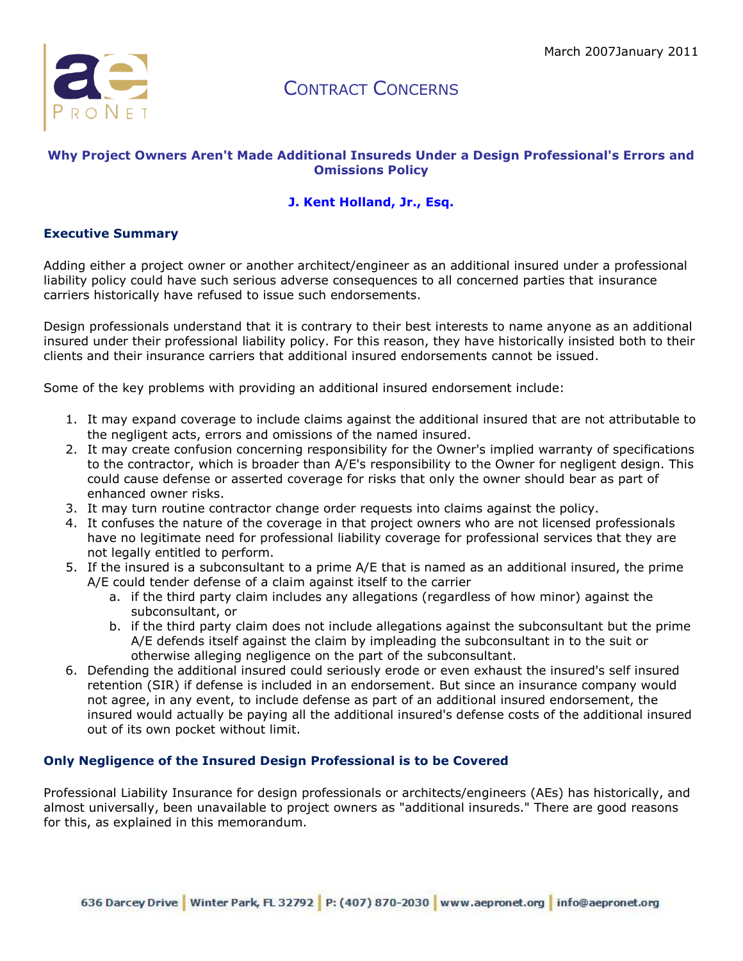

### **Why Project Owners Aren't Made Additional Insureds Under a Design Professional's Errors and Omissions Policy**

### **[J. Kent Holland, Jr., Esq.](http://aepronet.org/ge/no54.html#bio#bio)**

#### **Executive Summary**

Adding either a project owner or another architect/engineer as an additional insured under a professional liability policy could have such serious adverse consequences to all concerned parties that insurance carriers historically have refused to issue such endorsements.

Design professionals understand that it is contrary to their best interests to name anyone as an additional insured under their professional liability policy. For this reason, they have historically insisted both to their clients and their insurance carriers that additional insured endorsements cannot be issued.

Some of the key problems with providing an additional insured endorsement include:

- 1. It may expand coverage to include claims against the additional insured that are not attributable to the negligent acts, errors and omissions of the named insured.
- 2. It may create confusion concerning responsibility for the Owner's implied warranty of specifications to the contractor, which is broader than A/E's responsibility to the Owner for negligent design. This could cause defense or asserted coverage for risks that only the owner should bear as part of enhanced owner risks.
- 3. It may turn routine contractor change order requests into claims against the policy.
- 4. It confuses the nature of the coverage in that project owners who are not licensed professionals have no legitimate need for professional liability coverage for professional services that they are not legally entitled to perform.
- 5. If the insured is a subconsultant to a prime A/E that is named as an additional insured, the prime A/E could tender defense of a claim against itself to the carrier
	- a. if the third party claim includes any allegations (regardless of how minor) against the subconsultant, or
	- b. if the third party claim does not include allegations against the subconsultant but the prime A/E defends itself against the claim by impleading the subconsultant in to the suit or otherwise alleging negligence on the part of the subconsultant.
- 6. Defending the additional insured could seriously erode or even exhaust the insured's self insured retention (SIR) if defense is included in an endorsement. But since an insurance company would not agree, in any event, to include defense as part of an additional insured endorsement, the insured would actually be paying all the additional insured's defense costs of the additional insured out of its own pocket without limit.

#### **Only Negligence of the Insured Design Professional is to be Covered**

Professional Liability Insurance for design professionals or architects/engineers (AEs) has historically, and almost universally, been unavailable to project owners as "additional insureds." There are good reasons for this, as explained in this memorandum.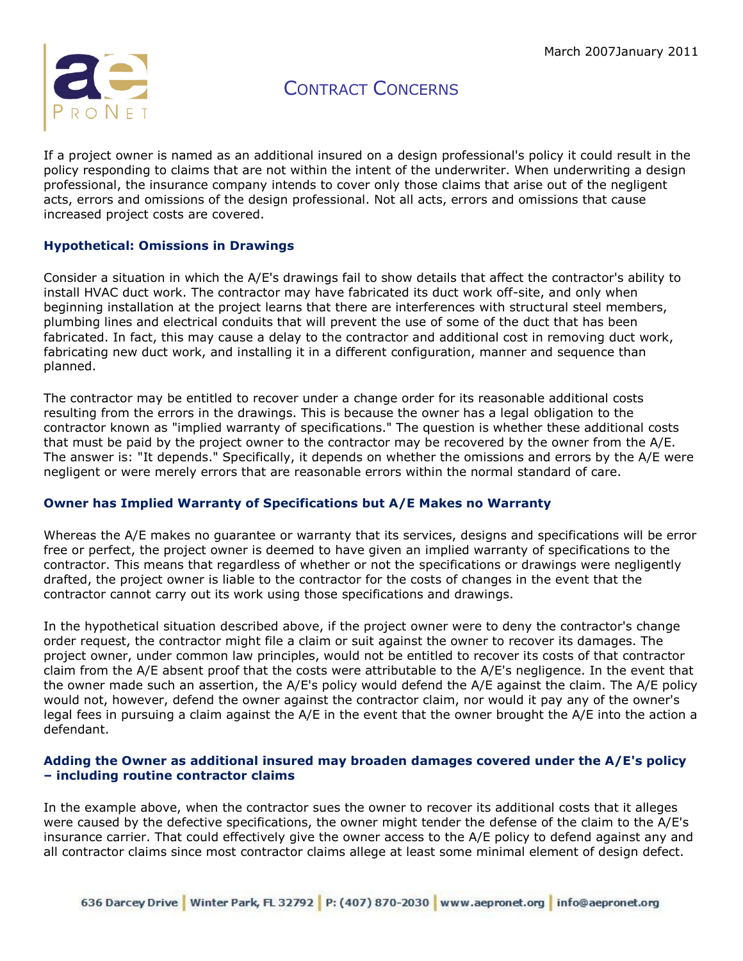

If a project owner is named as an additional insured on a design professional's policy it could result in the policy responding to claims that are not within the intent of the underwriter. When underwriting a design professional, the insurance company intends to cover only those claims that arise out of the negligent acts, errors and omissions of the design professional. Not all acts, errors and omissions that cause increased project costs are covered.

### **Hypothetical: Omissions in Drawings**

Consider a situation in which the A/E's drawings fail to show details that affect the contractor's ability to install HVAC duct work. The contractor may have fabricated its duct work off-site, and only when beginning installation at the project learns that there are interferences with structural steel members, plumbing lines and electrical conduits that will prevent the use of some of the duct that has been fabricated. In fact, this may cause a delay to the contractor and additional cost in removing duct work, fabricating new duct work, and installing it in a different configuration, manner and sequence than planned.

The contractor may be entitled to recover under a change order for its reasonable additional costs resulting from the errors in the drawings. This is because the owner has a legal obligation to the contractor known as "implied warranty of specifications." The question is whether these additional costs that must be paid by the project owner to the contractor may be recovered by the owner from the A/E. The answer is: "It depends." Specifically, it depends on whether the omissions and errors by the A/E were negligent or were merely errors that are reasonable errors within the normal standard of care.

### **Owner has Implied Warranty of Specifications but A/E Makes no Warranty**

Whereas the A/E makes no guarantee or warranty that its services, designs and specifications will be error free or perfect, the project owner is deemed to have given an implied warranty of specifications to the contractor. This means that regardless of whether or not the specifications or drawings were negligently drafted, the project owner is liable to the contractor for the costs of changes in the event that the contractor cannot carry out its work using those specifications and drawings.

In the hypothetical situation described above, if the project owner were to deny the contractor's change order request, the contractor might file a claim or suit against the owner to recover its damages. The project owner, under common law principles, would not be entitled to recover its costs of that contractor claim from the A/E absent proof that the costs were attributable to the A/E's negligence. In the event that the owner made such an assertion, the A/E's policy would defend the A/E against the claim. The A/E policy would not, however, defend the owner against the contractor claim, nor would it pay any of the owner's legal fees in pursuing a claim against the A/E in the event that the owner brought the A/E into the action a defendant.

#### **Adding the Owner as additional insured may broaden damages covered under the A/E's policy – including routine contractor claims**

In the example above, when the contractor sues the owner to recover its additional costs that it alleges were caused by the defective specifications, the owner might tender the defense of the claim to the A/E's insurance carrier. That could effectively give the owner access to the A/E policy to defend against any and all contractor claims since most contractor claims allege at least some minimal element of design defect.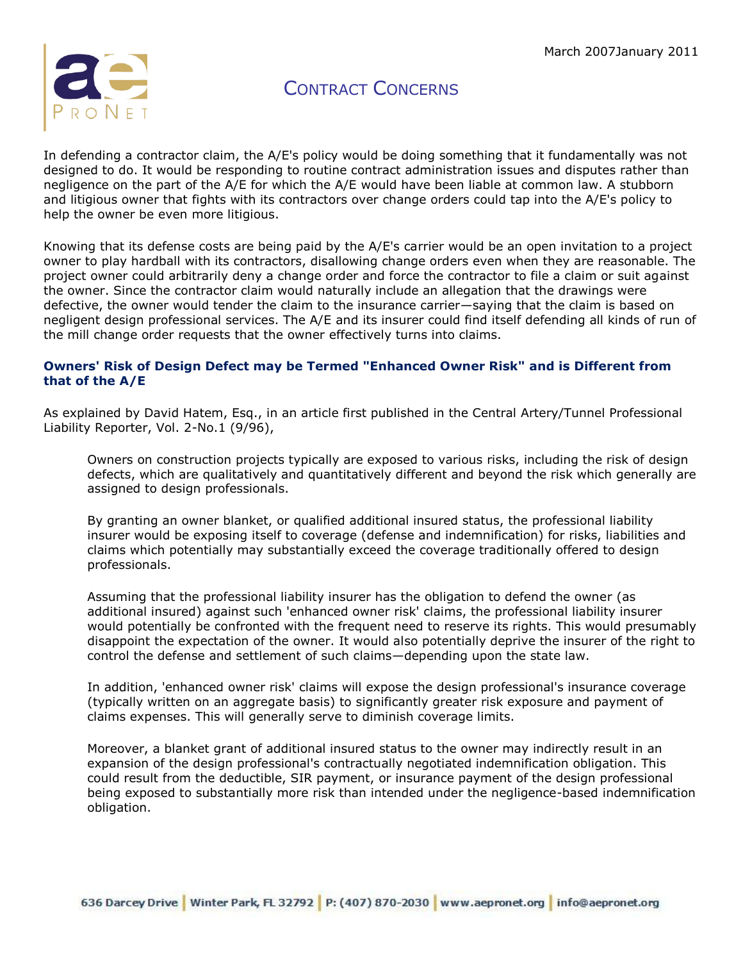

In defending a contractor claim, the A/E's policy would be doing something that it fundamentally was not designed to do. It would be responding to routine contract administration issues and disputes rather than negligence on the part of the A/E for which the A/E would have been liable at common law. A stubborn and litigious owner that fights with its contractors over change orders could tap into the A/E's policy to help the owner be even more litigious.

Knowing that its defense costs are being paid by the A/E's carrier would be an open invitation to a project owner to play hardball with its contractors, disallowing change orders even when they are reasonable. The project owner could arbitrarily deny a change order and force the contractor to file a claim or suit against the owner. Since the contractor claim would naturally include an allegation that the drawings were defective, the owner would tender the claim to the insurance carrier—saying that the claim is based on negligent design professional services. The A/E and its insurer could find itself defending all kinds of run of the mill change order requests that the owner effectively turns into claims.

### **Owners' Risk of Design Defect may be Termed "Enhanced Owner Risk" and is Different from that of the A/E**

As explained by David Hatem, Esq., in an article first published in the Central Artery/Tunnel Professional Liability Reporter, Vol. 2-No.1 (9/96),

Owners on construction projects typically are exposed to various risks, including the risk of design defects, which are qualitatively and quantitatively different and beyond the risk which generally are assigned to design professionals.

By granting an owner blanket, or qualified additional insured status, the professional liability insurer would be exposing itself to coverage (defense and indemnification) for risks, liabilities and claims which potentially may substantially exceed the coverage traditionally offered to design professionals.

Assuming that the professional liability insurer has the obligation to defend the owner (as additional insured) against such 'enhanced owner risk' claims, the professional liability insurer would potentially be confronted with the frequent need to reserve its rights. This would presumably disappoint the expectation of the owner. It would also potentially deprive the insurer of the right to control the defense and settlement of such claims—depending upon the state law.

In addition, 'enhanced owner risk' claims will expose the design professional's insurance coverage (typically written on an aggregate basis) to significantly greater risk exposure and payment of claims expenses. This will generally serve to diminish coverage limits.

Moreover, a blanket grant of additional insured status to the owner may indirectly result in an expansion of the design professional's contractually negotiated indemnification obligation. This could result from the deductible, SIR payment, or insurance payment of the design professional being exposed to substantially more risk than intended under the negligence-based indemnification obligation.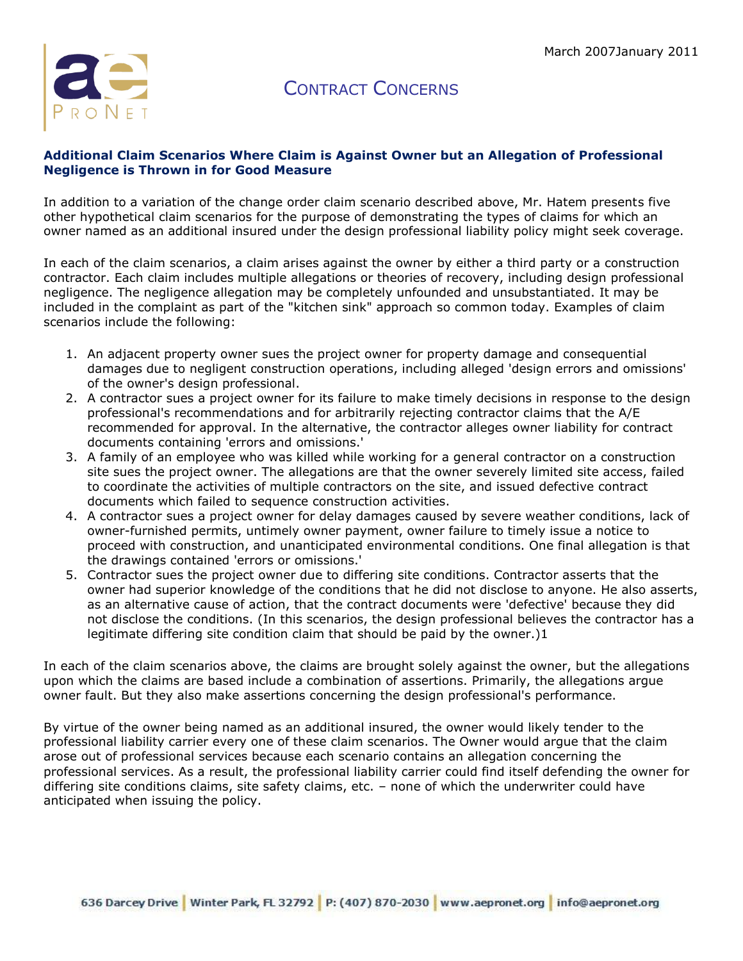

#### **Additional Claim Scenarios Where Claim is Against Owner but an Allegation of Professional Negligence is Thrown in for Good Measure**

In addition to a variation of the change order claim scenario described above, Mr. Hatem presents five other hypothetical claim scenarios for the purpose of demonstrating the types of claims for which an owner named as an additional insured under the design professional liability policy might seek coverage.

In each of the claim scenarios, a claim arises against the owner by either a third party or a construction contractor. Each claim includes multiple allegations or theories of recovery, including design professional negligence. The negligence allegation may be completely unfounded and unsubstantiated. It may be included in the complaint as part of the "kitchen sink" approach so common today. Examples of claim scenarios include the following:

- 1. An adjacent property owner sues the project owner for property damage and consequential damages due to negligent construction operations, including alleged 'design errors and omissions' of the owner's design professional.
- 2. A contractor sues a project owner for its failure to make timely decisions in response to the design professional's recommendations and for arbitrarily rejecting contractor claims that the A/E recommended for approval. In the alternative, the contractor alleges owner liability for contract documents containing 'errors and omissions.'
- 3. A family of an employee who was killed while working for a general contractor on a construction site sues the project owner. The allegations are that the owner severely limited site access, failed to coordinate the activities of multiple contractors on the site, and issued defective contract documents which failed to sequence construction activities.
- 4. A contractor sues a project owner for delay damages caused by severe weather conditions, lack of owner-furnished permits, untimely owner payment, owner failure to timely issue a notice to proceed with construction, and unanticipated environmental conditions. One final allegation is that the drawings contained 'errors or omissions.'
- 5. Contractor sues the project owner due to differing site conditions. Contractor asserts that the owner had superior knowledge of the conditions that he did not disclose to anyone. He also asserts, as an alternative cause of action, that the contract documents were 'defective' because they did not disclose the conditions. (In this scenarios, the design professional believes the contractor has a legitimate differing site condition claim that should be paid by the owner.)1

In each of the claim scenarios above, the claims are brought solely against the owner, but the allegations upon which the claims are based include a combination of assertions. Primarily, the allegations argue owner fault. But they also make assertions concerning the design professional's performance.

By virtue of the owner being named as an additional insured, the owner would likely tender to the professional liability carrier every one of these claim scenarios. The Owner would argue that the claim arose out of professional services because each scenario contains an allegation concerning the professional services. As a result, the professional liability carrier could find itself defending the owner for differing site conditions claims, site safety claims, etc. – none of which the underwriter could have anticipated when issuing the policy.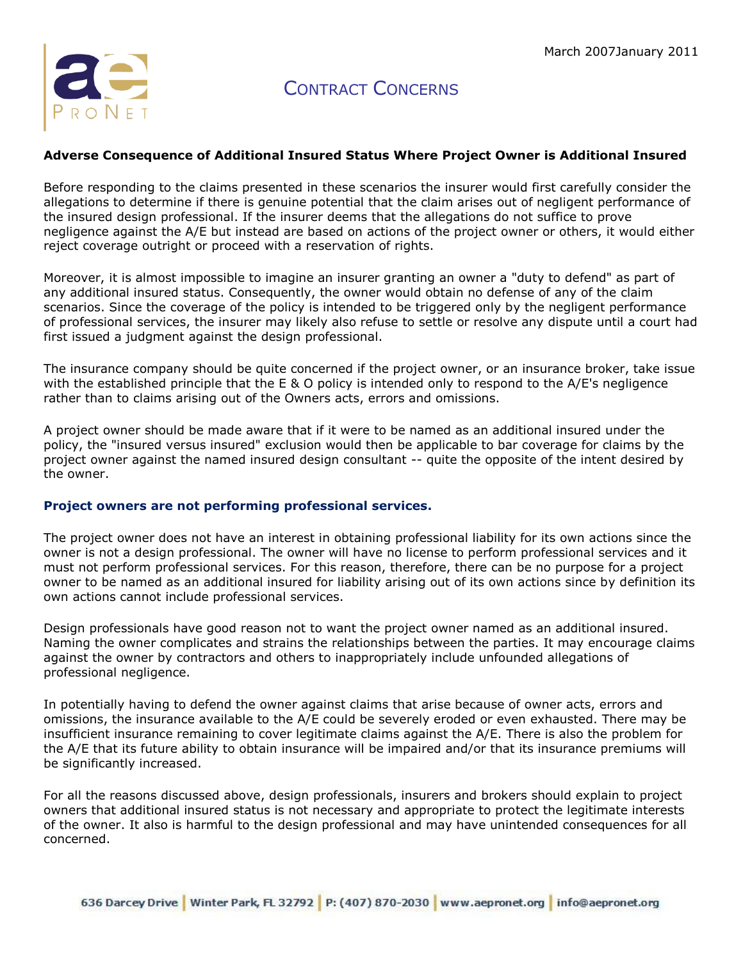

#### **Adverse Consequence of Additional Insured Status Where Project Owner is Additional Insured**

Before responding to the claims presented in these scenarios the insurer would first carefully consider the allegations to determine if there is genuine potential that the claim arises out of negligent performance of the insured design professional. If the insurer deems that the allegations do not suffice to prove negligence against the A/E but instead are based on actions of the project owner or others, it would either reject coverage outright or proceed with a reservation of rights.

Moreover, it is almost impossible to imagine an insurer granting an owner a "duty to defend" as part of any additional insured status. Consequently, the owner would obtain no defense of any of the claim scenarios. Since the coverage of the policy is intended to be triggered only by the negligent performance of professional services, the insurer may likely also refuse to settle or resolve any dispute until a court had first issued a judgment against the design professional.

The insurance company should be quite concerned if the project owner, or an insurance broker, take issue with the established principle that the E & O policy is intended only to respond to the A/E's negligence rather than to claims arising out of the Owners acts, errors and omissions.

A project owner should be made aware that if it were to be named as an additional insured under the policy, the "insured versus insured" exclusion would then be applicable to bar coverage for claims by the project owner against the named insured design consultant -- quite the opposite of the intent desired by the owner.

#### **Project owners are not performing professional services.**

The project owner does not have an interest in obtaining professional liability for its own actions since the owner is not a design professional. The owner will have no license to perform professional services and it must not perform professional services. For this reason, therefore, there can be no purpose for a project owner to be named as an additional insured for liability arising out of its own actions since by definition its own actions cannot include professional services.

Design professionals have good reason not to want the project owner named as an additional insured. Naming the owner complicates and strains the relationships between the parties. It may encourage claims against the owner by contractors and others to inappropriately include unfounded allegations of professional negligence.

In potentially having to defend the owner against claims that arise because of owner acts, errors and omissions, the insurance available to the A/E could be severely eroded or even exhausted. There may be insufficient insurance remaining to cover legitimate claims against the A/E. There is also the problem for the A/E that its future ability to obtain insurance will be impaired and/or that its insurance premiums will be significantly increased.

For all the reasons discussed above, design professionals, insurers and brokers should explain to project owners that additional insured status is not necessary and appropriate to protect the legitimate interests of the owner. It also is harmful to the design professional and may have unintended consequences for all concerned.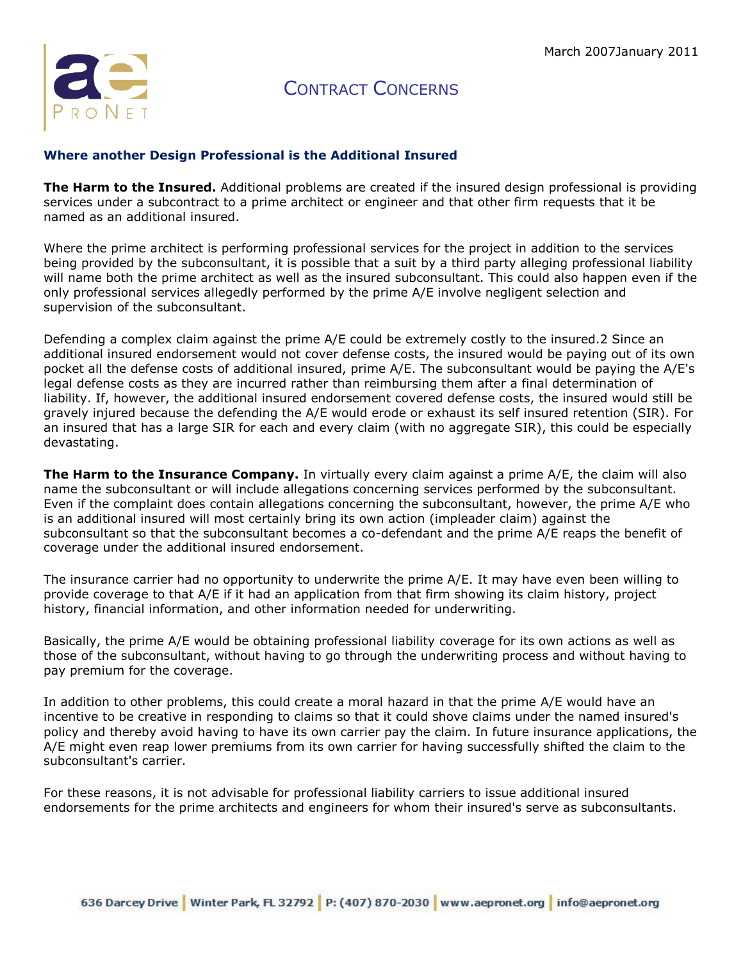

### **Where another Design Professional is the Additional Insured**

**The Harm to the Insured.** Additional problems are created if the insured design professional is providing services under a subcontract to a prime architect or engineer and that other firm requests that it be named as an additional insured.

Where the prime architect is performing professional services for the project in addition to the services being provided by the subconsultant, it is possible that a suit by a third party alleging professional liability will name both the prime architect as well as the insured subconsultant. This could also happen even if the only professional services allegedly performed by the prime A/E involve negligent selection and supervision of the subconsultant.

Defending a complex claim against the prime A/E could be extremely costly to the insured.2 Since an additional insured endorsement would not cover defense costs, the insured would be paying out of its own pocket all the defense costs of additional insured, prime A/E. The subconsultant would be paying the A/E's legal defense costs as they are incurred rather than reimbursing them after a final determination of liability. If, however, the additional insured endorsement covered defense costs, the insured would still be gravely injured because the defending the A/E would erode or exhaust its self insured retention (SIR). For an insured that has a large SIR for each and every claim (with no aggregate SIR), this could be especially devastating.

**The Harm to the Insurance Company.** In virtually every claim against a prime A/E, the claim will also name the subconsultant or will include allegations concerning services performed by the subconsultant. Even if the complaint does contain allegations concerning the subconsultant, however, the prime A/E who is an additional insured will most certainly bring its own action (impleader claim) against the subconsultant so that the subconsultant becomes a co-defendant and the prime A/E reaps the benefit of coverage under the additional insured endorsement.

The insurance carrier had no opportunity to underwrite the prime A/E. It may have even been willing to provide coverage to that A/E if it had an application from that firm showing its claim history, project history, financial information, and other information needed for underwriting.

Basically, the prime A/E would be obtaining professional liability coverage for its own actions as well as those of the subconsultant, without having to go through the underwriting process and without having to pay premium for the coverage.

In addition to other problems, this could create a moral hazard in that the prime A/E would have an incentive to be creative in responding to claims so that it could shove claims under the named insured's policy and thereby avoid having to have its own carrier pay the claim. In future insurance applications, the A/E might even reap lower premiums from its own carrier for having successfully shifted the claim to the subconsultant's carrier.

For these reasons, it is not advisable for professional liability carriers to issue additional insured endorsements for the prime architects and engineers for whom their insured's serve as subconsultants.